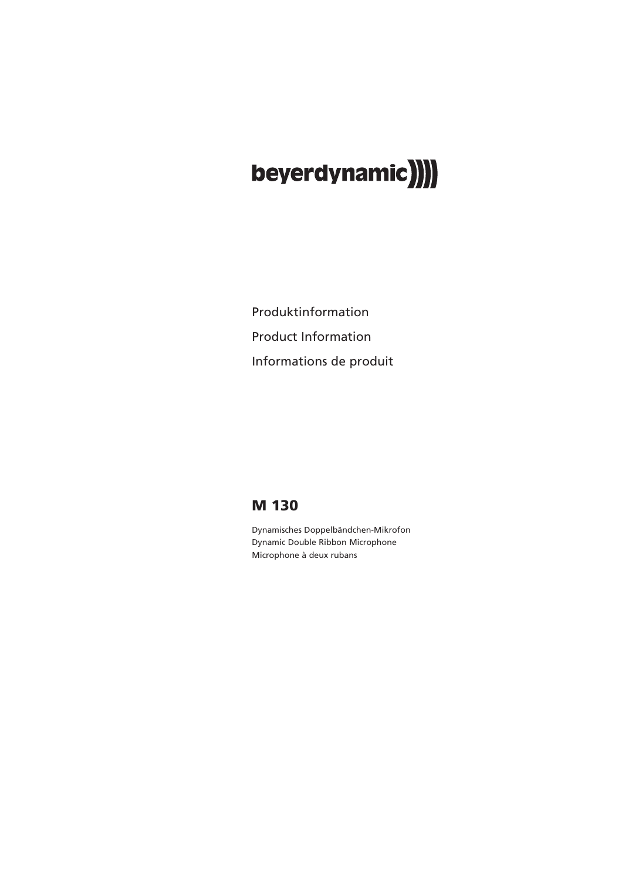# beyerdynamic)

Produktinformation Product Information Informations de produit

### **M 130**

Dynamisches Doppelbändchen-Mikrofon Dynamic Double Ribbon Microphone Microphone à deux rubans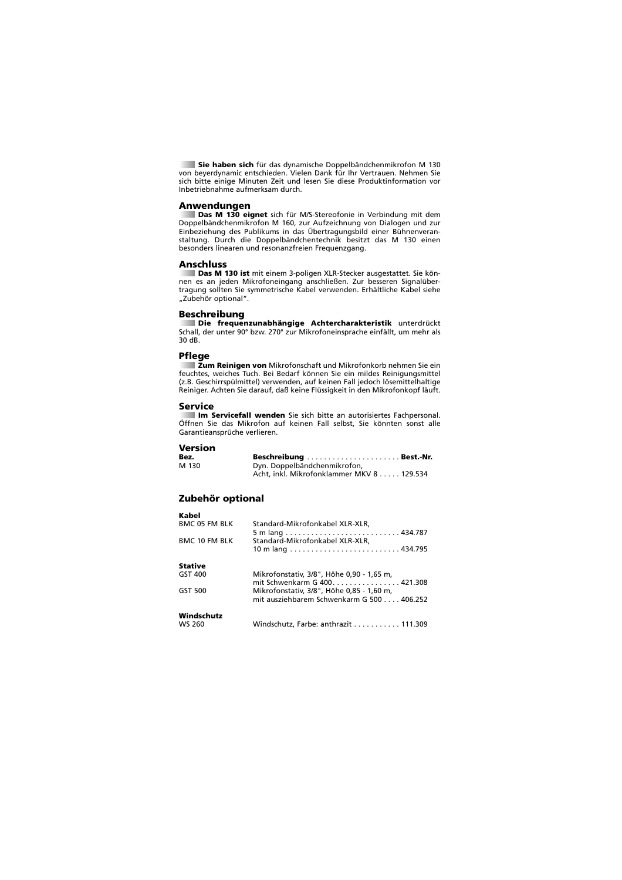**Sie haben sich** für das dynamische Doppelbändchenmikrofon M 130 von beyerdynamic entschieden. Vielen Dank für Ihr Vertrauen. Nehmen Sie sich bitte einige Minuten Zeit und lesen Sie diese Produktinformation vor Inbetriebnahme aufmerksam durch.

**Anwendungen Das M 130 eignet** sich für M/S-Stereofonie in Verbindung mit dem Doppelbändchenmikrofon M 160, zur Aufzeichnung von Dialogen und zur Einbeziehung des Publikums in das Übertragungsbild einer Bühnenveranstaltung. Durch die Doppelbändchentechnik besitzt das M 130 einen besonders linearen und resonanzfreien Frequenzgang.

#### **Anschluss**

**Das M 130 ist** mit einem 3-poligen XLR-Stecker ausgestattet. Sie können es an jeden Mikrofoneingang anschließen. Zur besseren Signalübertragung sollten Sie symmetrische Kabel verwenden. Erhältliche Kabel siehe "Zubehör optional".

### **Beschreibung**

**Die frequenzunabhängige Achtercharakteristik** unterdrückt Schall, der unter 90° bzw. 270° zur Mikrofoneinsprache einfällt, um mehr als 30 dB.

### **Pflege**

**Zum Reinigen von** Mikrofonschaft und Mikrofonkorb nehmen Sie ein feuchtes, weiches Tuch. Bei Bedarf können Sie ein mildes Reinigungsmittel (z.B. Geschirrspülmittel) verwenden, auf keinen Fall jedoch lösemittelhaltige Reiniger. Achten Sie darauf, daß keine Flüssigkeit in den Mikrofonkopf läuft.

### **Service**

**Im Servicefall wenden** Sie sich bitte an autorisiertes Fachpersonal. Öffnen Sie das Mikrofon auf keinen Fall selbst, Sie könnten sonst alle Garantieansprüche verlieren.

## **Version**

**Kabel**

| Bez.  |                                           |
|-------|-------------------------------------------|
| M 130 | Dyn. Doppelbändchenmikrofon,              |
|       | Acht, inkl. Mikrofonklammer MKV 8 129.534 |

### **Zubehör optional**

| navel                |                                           |
|----------------------|-------------------------------------------|
| <b>BMC 05 FM BLK</b> | Standard-Mikrofonkabel XLR-XLR,           |
|                      |                                           |
| <b>BMC 10 FM BLK</b> | Standard-Mikrofonkabel XLR-XLR,           |
|                      |                                           |
| <b>Stative</b>       |                                           |
| GST 400              | Mikrofonstativ, 3/8", Höhe 0,90 - 1,65 m, |
|                      | mit Schwenkarm G 400. 421.308             |
| GST 500              | Mikrofonstativ, 3/8", Höhe 0,85 - 1,60 m, |
|                      | mit ausziehbarem Schwenkarm G 500 406.252 |
| Windschutz           |                                           |
| <b>WS 260</b>        | Windschutz, Farbe: anthrazit 111.309      |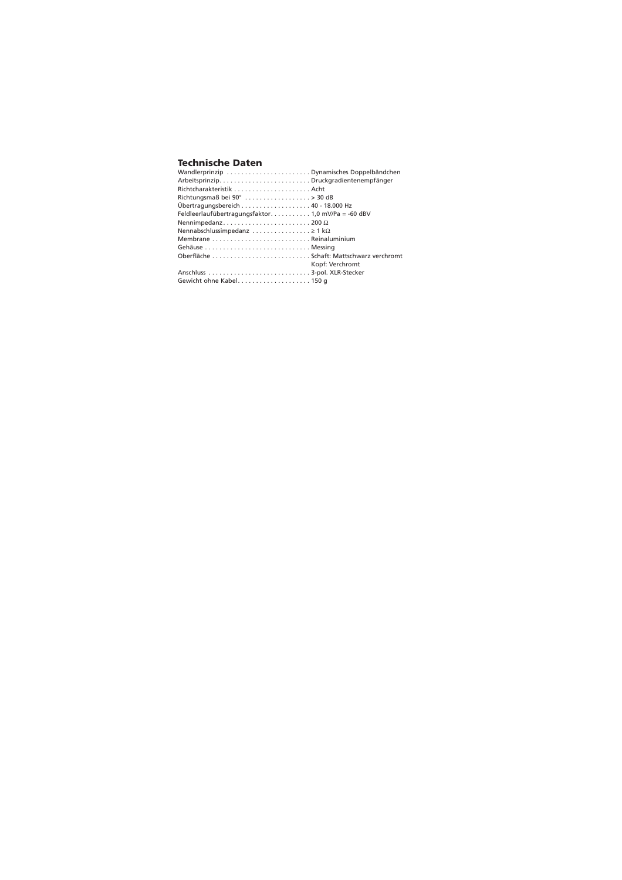### **Technische Daten**

| ArbeitsprinzipDruckgradientenempfänger                        |
|---------------------------------------------------------------|
|                                                               |
| Richtungsmaß bei 90° $\dots\dots\dots\dots\dots\dots$ > 30 dB |
|                                                               |
| Feldleerlaufübertragungsfaktor 1,0 mV/Pa = -60 dBV            |
| Nennimpedanz200 $\Omega$                                      |
| Nennabschlussimpedanz $\geq 1$ k $\Omega$                     |
|                                                               |
|                                                               |
| Oberfläche  Schaft: Mattschwarz verchromt                     |
| Kopf: Verchromt                                               |
|                                                               |
| Gewicht ohne Kabel150 q                                       |
|                                                               |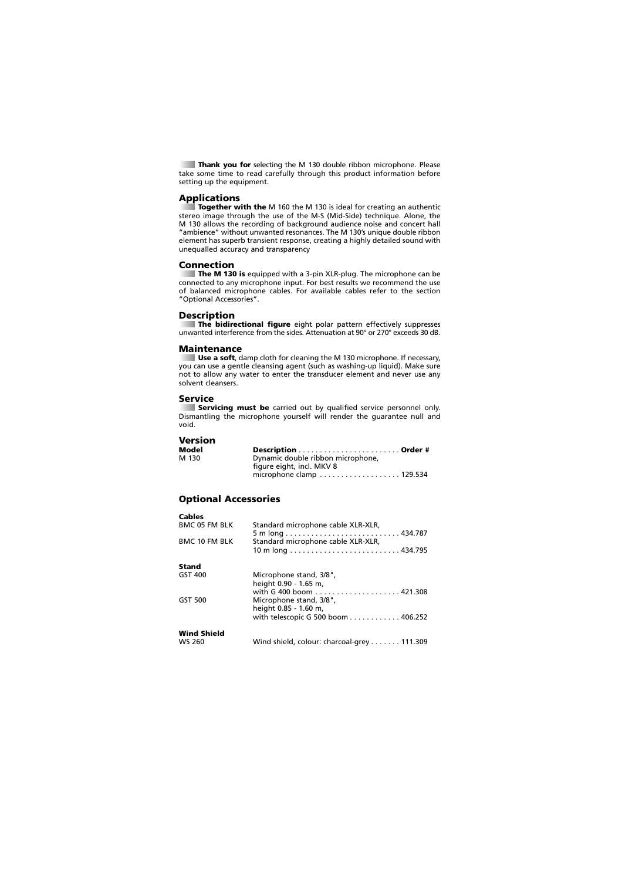**Thank you for** selecting the M 130 double ribbon microphone. Please take some time to read carefully through this product information before setting up the equipment.

### **Applications**

**Together with the** M 160 the M 130 is ideal for creating an authentic stereo image through the use of the M-S (Mid-Side) technique. Alone, the M 130 allows the recording of background audience noise and concert hall "ambience" without unwanted resonances. The M 130's unique double ribbon element has superb transient response, creating a highly detailed sound with unequalled accuracy and transparency

### **Connection**

**The M 130 is** equipped with a 3-pin XLR-plug. The microphone can be connected to any microphone input. For best results we recommend the use of balanced microphone cables. For available cables refer to the section "Optional Accessories".

### **Description**

**The bidirectional figure** eight polar pattern effectively suppresses unwanted interference from the sides. Attenuation at 90° or 270° exceeds 30 dB.

### **Maintenance**

**Use a soft**, damp cloth for cleaning the M 130 microphone. If necessary, you can use a gentle cleansing agent (such as washing-up liquid). Make sure not to allow any water to enter the transducer element and never use any solvent cleansers.

### **Service**

**Servicing must be** carried out by qualified service personnel only. Dismantling the microphone yourself will render the guarantee null and void.

## **Version**

**Cables**

| Model |                                                                      |
|-------|----------------------------------------------------------------------|
| M 130 | Dynamic double ribbon microphone,                                    |
|       | figure eight, incl. MKV 8                                            |
|       | microphone clamp $\ldots \ldots \ldots \ldots \ldots \ldots$ 129.534 |

### **Optional Accessories**

| Capita               |                                                  |
|----------------------|--------------------------------------------------|
| <b>BMC 05 FM BLK</b> | Standard microphone cable XLR-XLR,               |
| <b>BMC 10 FM BLK</b> | Standard microphone cable XLR-XLR,               |
| Stand                |                                                  |
| GST 400              | Microphone stand, 3/8",<br>height 0.90 - 1.65 m, |
|                      |                                                  |
| GST 500              | Microphone stand, 3/8",<br>height 0.85 - 1.60 m, |
|                      | with telescopic G 500 boom 406.252               |
| <b>Wind Shield</b>   |                                                  |
| <b>WS 260</b>        | Wind shield, colour: charcoal-grey 111.309       |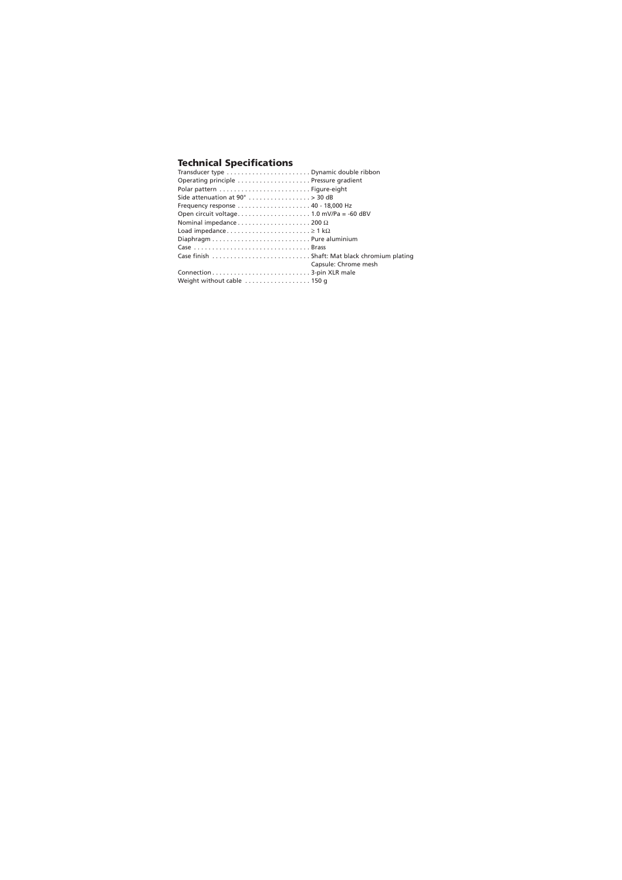### **Technical Specifications**

| Operating principle  Pressure gradient                          |                      |
|-----------------------------------------------------------------|----------------------|
|                                                                 |                      |
| Side attenuation at $90^\circ$ > 30 dB                          |                      |
|                                                                 |                      |
|                                                                 |                      |
| Nominal impedance $\dots\dots\dots\dots\dots\dots$ 200 $\Omega$ |                      |
|                                                                 |                      |
|                                                                 |                      |
| Case Brass                                                      |                      |
|                                                                 |                      |
|                                                                 | Capsule: Chrome mesh |
|                                                                 |                      |
| Weight without cable  150 g                                     |                      |
|                                                                 |                      |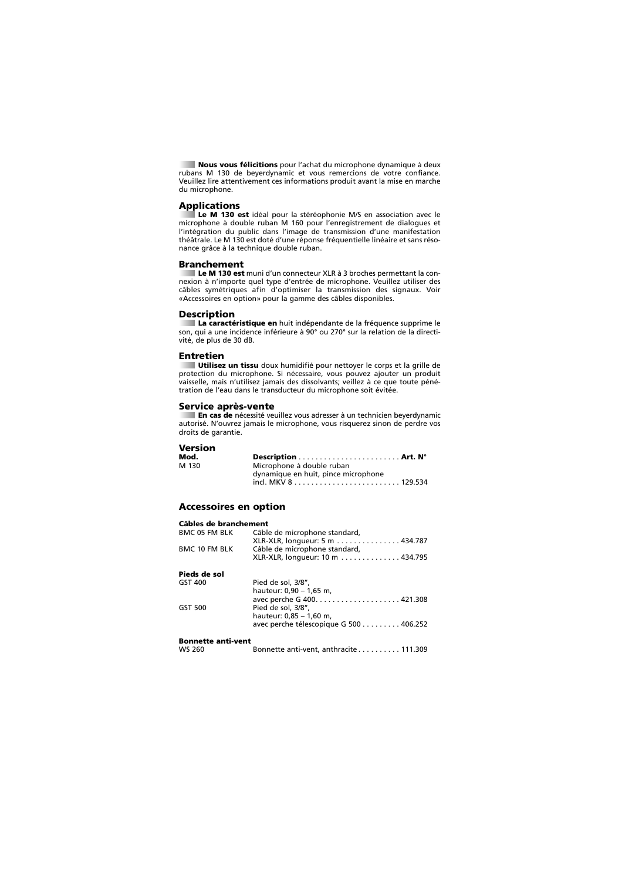**Nous vous félicitions** pour l'achat du microphone dynamique à deux rubans M 130 de beyerdynamic et vous remercions de votre confiance. Veuillez lire attentivement ces informations produit avant la mise en marche du microphone.

### **Applications**

**Le M 130 est** idéal pour la stéréophonie M/S en association avec le microphone à double ruban M 160 pour l'enregistrement de dialogues et l'intégration du public dans l'image de transmission d'une manifestation théâtrale. Le M 130 est doté d'une réponse fréquentielle linéaire et sans résonance grâce à la technique double ruban.

#### **Branchement**

**Le M 130 est** muni d'un connecteur XLR à 3 broches permettant la connexion à n'importe quel type d'entrée de microphone. Veuillez utiliser des câbles symétriques afin d'optimiser la transmission des signaux. Voir «Accessoires en option» pour la gamme des câbles disponibles.

### **Description**

**La caractéristique en** huit indépendante de la fréquence supprime le son, qui a une incidence inférieure à 90° ou 270° sur la relation de la directivité, de plus de 30 dB.

#### **Entretien**

**Utilisez un tissu** doux humidifié pour nettoyer le corps et la grille de protection du microphone. Si nécessaire, vous pouvez ajouter un produit vaisselle, mais n'utilisez jamais des dissolvants; veillez à ce que toute pénétration de l'eau dans le transducteur du microphone soit évitée.

### **Service après-vente**

**En cas de** nécessité veuillez vous adresser à un technicien beyerdynamic autorisé. N'ouvrez jamais le microphone, vous risquerez sinon de perdre vos droits de garantie.

### **Version**

| Mod.  |                                     |
|-------|-------------------------------------|
| M 130 | Microphone à double ruban           |
|       | dynamique en huit, pince microphone |
|       |                                     |

### **Accessoires en option**

| Câbles de branchement     |                                        |
|---------------------------|----------------------------------------|
| <b>BMC 05 FM BLK</b>      | Câble de microphone standard,          |
|                           | XLR-XLR, longueur: 5 m 434.787         |
| <b>BMC 10 FM BLK</b>      | Câble de microphone standard,          |
|                           | XLR-XLR, longueur: 10 m 434.795        |
| Pieds de sol              |                                        |
| GST 400                   | Pied de sol, 3/8",                     |
|                           | hauteur: 0,90 - 1,65 m,                |
|                           | avec perche G 400421.308               |
| GST 500                   | Pied de sol, 3/8",                     |
|                           | hauteur: 0.85 - 1.60 m.                |
|                           | avec perche télescopique G 500 406.252 |
| <b>Bonnette anti-vent</b> |                                        |
| WS 260                    | Bonnette anti-vent, anthracite 111.309 |
|                           |                                        |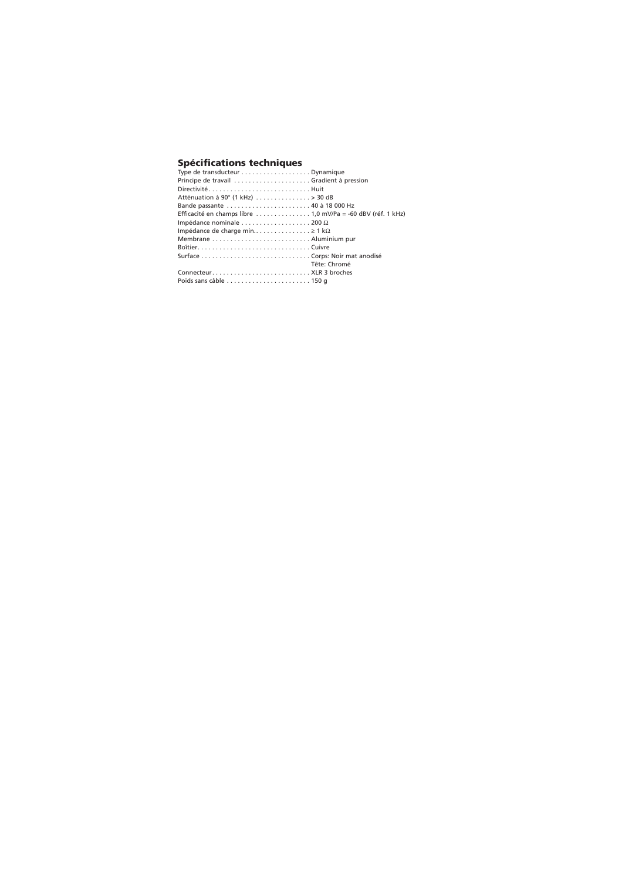## **Spécifications techniques** Type de transducteur . . . . . . . . . . . . . . . . . . . Dynamique

| Iype de transducteur $\ldots \ldots \ldots \ldots \ldots$ . Dynamique |              |
|-----------------------------------------------------------------------|--------------|
|                                                                       |              |
| DirectivitéHuit                                                       |              |
| Atténuation à 90° (1 kHz)  > 30 dB                                    |              |
| Bande passante  40 à 18 000 Hz                                        |              |
| Efficacité en champs libre 1,0 mV/Pa = -60 dBV (réf. 1 kHz)           |              |
| Impédance nominale $\dots\dots\dots\dots\dots\dots$ 200 $\Omega$      |              |
| Impédance de charge min $\geq 1$ k $\Omega$                           |              |
|                                                                       |              |
|                                                                       |              |
|                                                                       |              |
|                                                                       | Tête: Chromé |
| Connecteur XLR 3 broches                                              |              |
|                                                                       |              |
|                                                                       |              |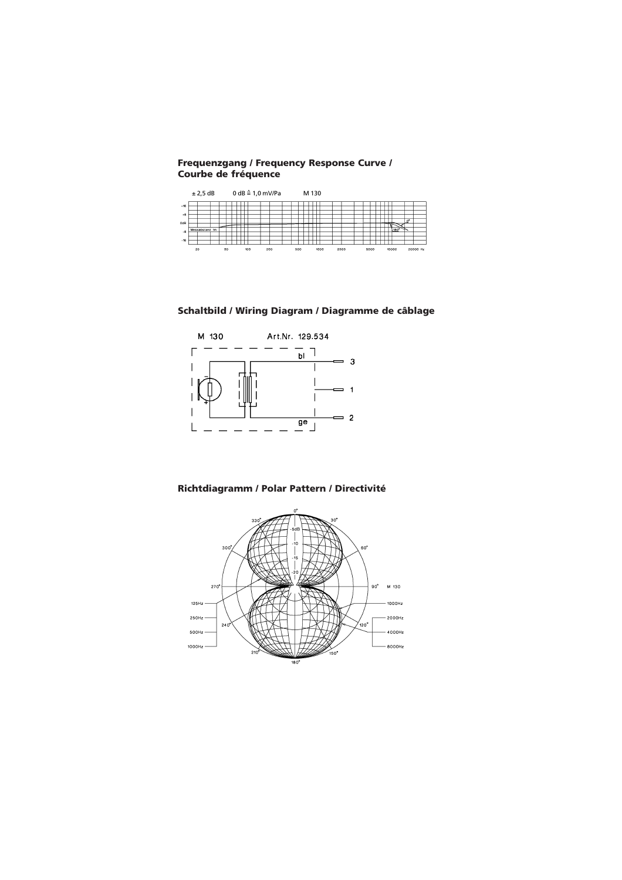**Frequenzgang / Frequency Response Curve / Courbe de fréquence**

|          | $0 dB \triangleq 1.0$ mV/Pa<br>± 2,5 dB |                |  |  |  |  |             |  |  |  |  | M 130 |      |  |  |  |      |  |  |  |       |  |          |  |  |      |                |  |
|----------|-----------------------------------------|----------------|--|--|--|--|-------------|--|--|--|--|-------|------|--|--|--|------|--|--|--|-------|--|----------|--|--|------|----------------|--|
| $+16$    |                                         |                |  |  |  |  |             |  |  |  |  |       |      |  |  |  |      |  |  |  |       |  |          |  |  |      |                |  |
| $+8$     |                                         |                |  |  |  |  |             |  |  |  |  |       |      |  |  |  |      |  |  |  |       |  |          |  |  |      |                |  |
| OdB      |                                         |                |  |  |  |  |             |  |  |  |  |       |      |  |  |  |      |  |  |  |       |  |          |  |  |      | O <sup>o</sup> |  |
| .8       |                                         | Messabstand 1m |  |  |  |  |             |  |  |  |  |       |      |  |  |  |      |  |  |  |       |  |          |  |  | 180° |                |  |
| $-16$    |                                         |                |  |  |  |  |             |  |  |  |  |       |      |  |  |  |      |  |  |  |       |  |          |  |  |      |                |  |
| 20<br>50 |                                         | 100<br>200     |  |  |  |  | 500<br>1000 |  |  |  |  |       | 2000 |  |  |  | 5000 |  |  |  | 10000 |  | 20000 Hz |  |  |      |                |  |

### **Schaltbild / Wiring Diagram / Diagramme de câblage**



### **Richtdiagramm / Polar Pattern / Directivité**